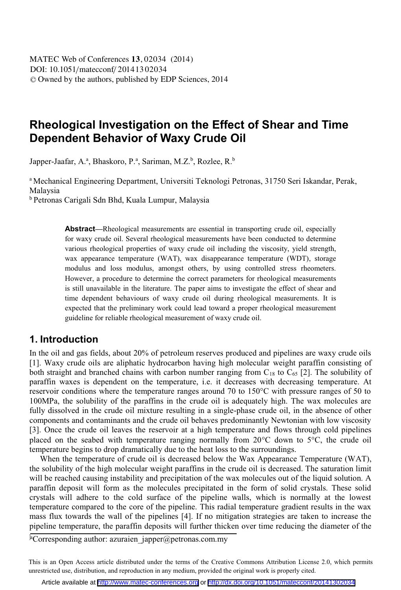# **Rheological Investigation on the Effect of Shear and Time Dependent Behavior of Waxy Crude Oil**

Japper-Jaafar, A.ª, Bhaskoro, P.ª, Sariman, M.Z.<sup>b</sup>, Rozlee, R.<sup>b</sup>

a Mechanical Engineering Department, Universiti Teknologi Petronas, 31750 Seri Iskandar, Perak, Malaysia

b Petronas Carigali Sdn Bhd, Kuala Lumpur, Malaysia

**Abstract—**Rheological measurements are essential in transporting crude oil, especially for waxy crude oil. Several rheological measurements have been conducted to determine various rheological properties of waxy crude oil including the viscosity, yield strength, wax appearance temperature (WAT), wax disappearance temperature (WDT), storage modulus and loss modulus, amongst others, by using controlled stress rheometers. However, a procedure to determine the correct parameters for rheological measurements is still unavailable in the literature. The paper aims to investigate the effect of shear and time dependent behaviours of waxy crude oil during rheological measurements. It is expected that the preliminary work could lead toward a proper rheological measurement guideline for reliable rheological measurement of waxy crude oil.

### **1. Introduction**

In the oil and gas fields, about 20% of petroleum reserves produced and pipelines are waxy crude oils [1]. Waxy crude oils are aliphatic hydrocarbon having high molecular weight paraffin consisting of both straight and branched chains with carbon number ranging from  $C_{18}$  to  $C_{65}$  [2]. The solubility of paraffin waxes is dependent on the temperature, i.e. it decreases with decreasing temperature. At reservoir conditions where the temperature ranges around 70 to 150°C with pressure ranges of 50 to 100MPa, the solubility of the paraffins in the crude oil is adequately high. The wax molecules are fully dissolved in the crude oil mixture resulting in a single-phase crude oil, in the absence of other components and contaminants and the crude oil behaves predominantly Newtonian with low viscosity [3]. Once the crude oil leaves the reservoir at a high temperature and flows through cold pipelines placed on the seabed with temperature ranging normally from  $20^{\circ}$ C down to  $5^{\circ}$ C, the crude oil temperature begins to drop dramatically due to the heat loss to the surroundings.

 When the temperature of crude oil is decreased below the Wax Appearance Temperature (WAT), the solubility of the high molecular weight paraffins in the crude oil is decreased. The saturation limit will be reached causing instability and precipitation of the wax molecules out of the liquid solution. A paraffin deposit will form as the molecules precipitated in the form of solid crystals. These solid crystals will adhere to the cold surface of the pipeline walls, which is normally at the lowest temperature compared to the core of the pipeline. This radial temperature gradient results in the wax mass flux towards the wall of the pipelines [4]. If no mitigation strategies are taken to increase the pipeline temperature, the paraffin deposits will further thicken over time reducing the diameter of the

aCorresponding author: azuraien\_japper@petronas.com.my

This is an Open Access article distributed under the terms of the Creative Commons Attribution License 2.0, which permits unrestricted use, distribution, and reproduction in any medium, provided the original work is properly cited.

Article available at <http://www.matec-conferences.org> or <http://dx.doi.org/10.1051/matecconf/20141302034>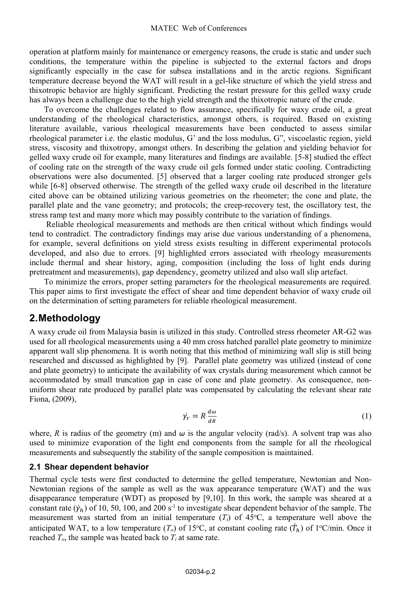operation at platform mainly for maintenance or emergency reasons, the crude is static and under such conditions, the temperature within the pipeline is subjected to the external factors and drops significantly especially in the case for subsea installations and in the arctic regions. Significant temperature decrease beyond the WAT will result in a gel-like structure of which the yield stress and thixotropic behavior are highly significant. Predicting the restart pressure for this gelled waxy crude has always been a challenge due to the high yield strength and the thixotropic nature of the crude.

To overcome the challenges related to flow assurance, specifically for waxy crude oil, a great understanding of the rheological characteristics, amongst others, is required. Based on existing literature available, various rheological measurements have been conducted to assess similar rheological parameter i.e. the elastic modulus, G' and the loss modulus, G", viscoelastic region, yield stress, viscosity and thixotropy, amongst others. In describing the gelation and yielding behavior for gelled waxy crude oil for example, many literatures and findings are available. [5-8] studied the effect of cooling rate on the strength of the waxy crude oil gels formed under static cooling. Contradicting observations were also documented. [5] observed that a larger cooling rate produced stronger gels while [6-8] observed otherwise. The strength of the gelled waxy crude oil described in the literature cited above can be obtained utilizing various geometries on the rheometer; the cone and plate, the parallel plate and the vane geometry; and protocols; the creep-recovery test, the oscillatory test, the stress ramp test and many more which may possibly contribute to the variation of findings.

Reliable rheological measurements and methods are then critical without which findings would tend to contradict. The contradictory findings may arise due various understanding of a phenomena, for example, several definitions on yield stress exists resulting in different experimental protocols developed, and also due to errors. [9] highlighted errors associated with rheology measurements include thermal and shear history, aging, composition (including the loss of light ends during pretreatment and measurements), gap dependency, geometry utilized and also wall slip artefact.

To minimize the errors, proper setting parameters for the rheological measurements are required. This paper aims to first investigate the effect of shear and time dependent behavior of waxy crude oil on the determination of setting parameters for reliable rheological measurement.

### **2. Methodology**

A waxy crude oil from Malaysia basin is utilized in this study. Controlled stress rheometer AR-G2 was used for all rheological measurements using a 40 mm cross hatched parallel plate geometry to minimize apparent wall slip phenomena. It is worth noting that this method of minimizing wall slip is still being researched and discussed as highlighted by [9]. Parallel plate geometry was utilized (instead of cone and plate geometry) to anticipate the availability of wax crystals during measurement which cannot be accommodated by small truncation gap in case of cone and plate geometry. As consequence, nonuniform shear rate produced by parallel plate was compensated by calculating the relevant shear rate Fiona, (2009),

$$
\dot{\gamma_r} = R \frac{d\omega}{dR} \tag{1}
$$

where, *R* is radius of the geometry (m) and  $\omega$  is the angular velocity (rad/s). A solvent trap was also used to minimize evaporation of the light end components from the sample for all the rheological measurements and subsequently the stability of the sample composition is maintained.

#### **2.1 Shear dependent behavior**

Thermal cycle tests were first conducted to determine the gelled temperature, Newtonian and Non-Newtonian regions of the sample as well as the wax appearance temperature (WAT) and the wax disappearance temperature (WDT) as proposed by [9,10]. In this work, the sample was sheared at a constant rate  $(\dot{\gamma}_h)$  of 10, 50, 100, and 200 s<sup>-1</sup> to investigate shear dependent behavior of the sample. The ֧֦֧֝֟֟֓֝<u>֚</u> measurement was started from an initial temperature  $(T_i)$  of 45 $\degree$ C, a temperature well above the anticipated WAT, to a low temperature  $(T_o)$  of 15°C, at constant cooling rate  $(\dot{T}_h)$  of 1°C/min. Once it ֦ reached  $T<sub>o</sub>$ , the sample was heated back to  $T<sub>i</sub>$  at same rate.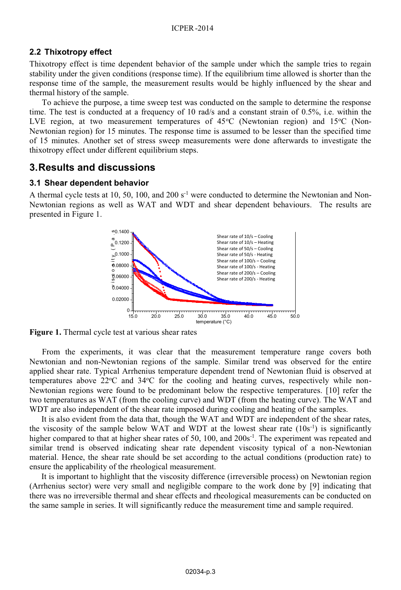### **2.2 Thixotropy effect**

Thixotropy effect is time dependent behavior of the sample under which the sample tries to regain stability under the given conditions (response time). If the equilibrium time allowed is shorter than the response time of the sample, the measurement results would be highly influenced by the shear and thermal history of the sample.

To achieve the purpose, a time sweep test was conducted on the sample to determine the response time. The test is conducted at a frequency of 10 rad/s and a constant strain of 0.5%, i.e. within the LVE region, at two measurement temperatures of 45°C (Newtonian region) and 15°C (Non-Newtonian region) for 15 minutes. The response time is assumed to be lesser than the specified time of 15 minutes. Another set of stress sweep measurements were done afterwards to investigate the thixotropy effect under different equilibrium steps.

# **3. Results and discussions**

#### **3.1 Shear dependent behavior**

A thermal cycle tests at 10, 50, 100, and 200  $s<sup>-1</sup>$  were conducted to determine the Newtonian and Non-Newtonian regions as well as WAT and WDT and shear dependent behaviours. The results are presented in Figure 1.



**Figure 1.** Thermal cycle test at various shear rates

From the experiments, it was clear that the measurement temperature range covers both Newtonian and non-Newtonian regions of the sample. Similar trend was observed for the entire applied shear rate. Typical Arrhenius temperature dependent trend of Newtonian fluid is observed at temperatures above  $22^{\circ}\text{C}$  and  $34^{\circ}\text{C}$  for the cooling and heating curves, respectively while non-Newtonian regions were found to be predominant below the respective temperatures. [10] refer the two temperatures as WAT (from the cooling curve) and WDT (from the heating curve). The WAT and WDT are also independent of the shear rate imposed during cooling and heating of the samples.

It is also evident from the data that, though the WAT and WDT are independent of the shear rates, the viscosity of the sample below WAT and WDT at the lowest shear rate  $(10s^{-1})$  is significantly higher compared to that at higher shear rates of 50, 100, and  $200s^{-1}$ . The experiment was repeated and similar trend is observed indicating shear rate dependent viscosity typical of a non-Newtonian material. Hence, the shear rate should be set according to the actual conditions (production rate) to ensure the applicability of the rheological measurement.

It is important to highlight that the viscosity difference (irreversible process) on Newtonian region (Arrhenius sector) were very small and negligible compare to the work done by [9] indicating that there was no irreversible thermal and shear effects and rheological measurements can be conducted on the same sample in series. It will significantly reduce the measurement time and sample required.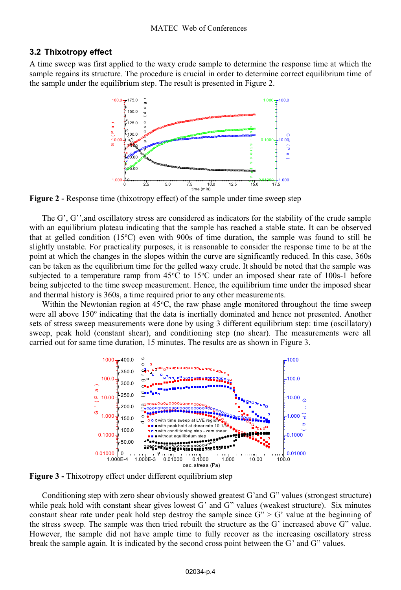#### **3.2 Thixotropy effect**

A time sweep was first applied to the waxy crude sample to determine the response time at which the sample regains its structure. The procedure is crucial in order to determine correct equilibrium time of the sample under the equilibrium step. The result is presented in Figure 2.



**Figure 2** - Response time (thixotropy effect) of the sample under time sweep step

The G', G'', and oscillatory stress are considered as indicators for the stability of the crude sample with an equilibrium plateau indicating that the sample has reached a stable state. It can be observed that at gelled condition (15°C) even with 900s of time duration, the sample was found to still be slightly unstable. For practicality purposes, it is reasonable to consider the response time to be at the point at which the changes in the slopes within the curve are significantly reduced. In this case, 360s can be taken as the equilibrium time for the gelled waxy crude. It should be noted that the sample was subjected to a temperature ramp from 45°C to 15°C under an imposed shear rate of 100s-1 before being subjected to the time sweep measurement. Hence, the equilibrium time under the imposed shear and thermal history is 360s, a time required prior to any other measurements.

Within the Newtonian region at  $45^{\circ}$ C, the raw phase angle monitored throughout the time sweep were all above 150° indicating that the data is inertially dominated and hence not presented. Another sets of stress sweep measurements were done by using 3 different equilibrium step: time (oscillatory) sweep, peak hold (constant shear), and conditioning step (no shear). The measurements were all carried out for same time duration, 15 minutes. The results are as shown in Figure 3.



**Figure 3 -** Thixotropy effect under different equilibrium step

Conditioning step with zero shear obviously showed greatest G'and G" values (strongest structure) while peak hold with constant shear gives lowest G' and G" values (weakest structure). Six minutes constant shear rate under peak hold step destroy the sample since  $G'' > G'$  value at the beginning of the stress sweep. The sample was then tried rebuilt the structure as the G' increased above G" value. However, the sample did not have ample time to fully recover as the increasing oscillatory stress break the sample again. It is indicated by the second cross point between the G' and G" values.